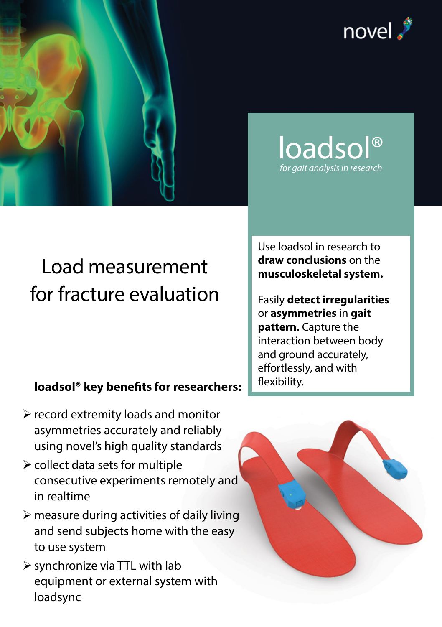



## **loadsol® key benefits for researchers:**

- $\triangleright$  record extremity loads and monitor asymmetries accurately and reliably using novel's high quality standards
- $\triangleright$  collect data sets for multiple consecutive experiments remotely and in realtime
- $\triangleright$  measure during activities of daily living and send subjects home with the easy to use system
- $\triangleright$  synchronize via TTL with lab equipment or external system with loadsync



Use loadsol in research to **draw conclusions** on the **musculoskeletal system.**

loadsol® *for gait analysis in research*

Easily **detect irregularities** or **asymmetries** in **gait pattern.** Capture the interaction between body and ground accurately, effortlessly, and with flexibility.